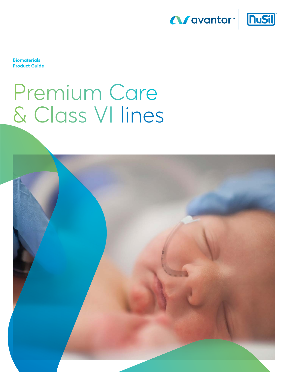



**Biomaterials Product Guide**

# Premium Care & Class VI lines

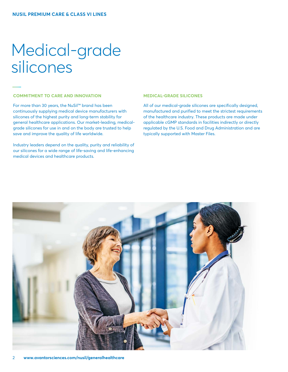### Medical-grade silicones

### **COMMITMENT TO CARE AND INNOVATION**

For more than 30 years, the NuSil™ brand has been continuously supplying medical device manufacturers with silicones of the highest purity and long-term stability for general healthcare applications. Our market-leading, medicalgrade silicones for use in and on the body are trusted to help save and improve the quality of life worldwide.

Industry leaders depend on the quality, purity and reliability of our silicones for a wide range of life-saving and life-enhancing medical devices and healthcare products.

### **MEDICAL-GRADE SILICONES**

All of our medical-grade silicones are specifically designed, manufactured and purified to meet the strictest requirements of the healthcare industry. These products are made under applicable cGMP standards in facilities indirectly or directly regulated by the U.S. Food and Drug Administration and are typically supported with Master Files.

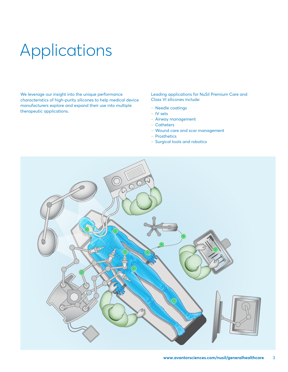## Applications

We leverage our insight into the unique performance characteristics of high-purity silicones to help medical device manufacturers explore and expand their use into multiple therapeutic applications.

Leading applications for NuSil Premium Care and Class VI silicones include:

- Needle coatings
- ‒ IV sets
- Airway management
- ‒ Catheters
- Wound care and scar management
- ‒ Prosthetics
- Surgical tools and robotics

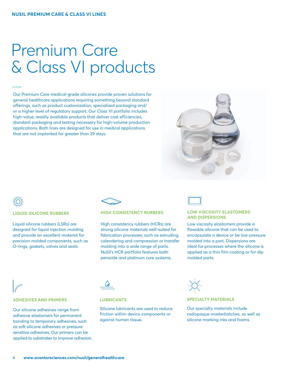### Premium Care & Class VI products

Our Premium Care medical-grade silicones provide proven solutions for general healthcare applications requiring something beyond standard offerings, such as product customization, specialized packaging and/ or a higher level of regulatory support. Our Class VI portfolio includes high-value, readily available products that deliver cost efficiencies, standard packaging and testing necessary for high-volume production applications. Both lines are designed for use in medical applications that are not implanted for greater than 29 days.



### **LIQUID SILICONE RUBBERS**

Liquid silicone rubbers (LSRs) are designed for liquid injection molding and provide an excellent material for precision molded components, such as O-rings, gaskets, valves and seals.



### **HIGH CONSISTENCY RUBBERS**

High consistency rubbers (HCRs) are strong silicone materials well-suited for fabrication processes, such as extruding, calendering and compression or transfer molding into a wide range of parts. NuSil's HCR portfolio features both peroxide and platinum cure systems.



### **LOW VISCOSITY ELASTOMERS AND DISPERSIONS**

Low viscosity elastomers provide a flowable silicone that can be used to encapsulate a device or be low-pressure molded into a part. Dispersions are ideal for processes where the silicone is applied as a thin film coating or for dip molded parts.

### **ADHESIVES AND PRIMERS**

Our silicone adhesives range from adhesive elastomers for permanent bonding to temporary adhesives, such as soft silicone adhesives or pressure sensitive adhesives. Our primers can be applied to substrates to improve adhesion.



### **LUBRICANTS**

Silicone lubricants are used to reduce friction within device components or against human tissue.



### **SPECIALTY MATERIALS**

Our specialty materials include radiopaque masterbatches, as well as silicone marking inks and foams.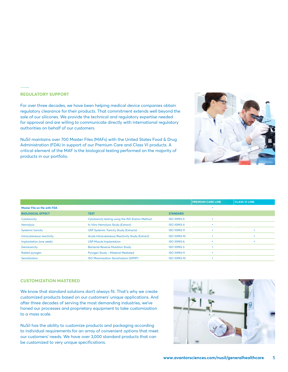### **REGULATORY SUPPORT**

For over three decades, we have been helping medical device companies obtain regulatory clearance for their products. That commitment extends well beyond the sale of our silicones. We provide the technical and regulatory expertise needed for approval and are willing to communicate directly with international regulatory authorities on behalf of our customers.

NuSil maintains over 700 Master Files (MAFs) with the United States Food & Drug Administration (FDA) in support of our Premium Care and Class VI products. A critical element of the MAF is the biological testing performed on the majority of products in our portfolio.

|                              |                                                        |                 | <b>PREMIUM CARE LINE</b> | <b>CLASS VI LINE</b> |
|------------------------------|--------------------------------------------------------|-----------------|--------------------------|----------------------|
| Master File on file with FDA |                                                        |                 |                          |                      |
| <b>BIOLOGICAL EFFECT</b>     | <b>TEST</b>                                            | <b>STANDARD</b> |                          |                      |
| Cytotoxicity                 | Cytotoxicity testing using the ISO Elution Method      | ISO 10993-5     |                          |                      |
| <b>Hemolysis</b>             | In Vitro Hemolysis Study (Extract)                     | ISO 10993-4     |                          |                      |
| <b>Systemic toxicity</b>     | <b>USP Systemic Toxicity Study (Extracts)</b>          | ISO 10993-11    |                          |                      |
| Intracutaneous reactivity    | <b>Acute Intracutaneous Reactivity Study (Extract)</b> | ISO 10993-10    |                          |                      |
| Implantation (one week)      | <b>USP Muscle Implantation</b>                         | ISO 10993-6     |                          |                      |
| Genotoxicity                 | <b>Bacterial Reverse Mutation Study</b>                | ISO 10993-3     |                          |                      |
| Rabbit pyrogen               | <b>Pyrogen Study - Material Mediated</b>               | ISO 10993-11    |                          |                      |
| Sensitization                | <b>ISO Maximization Sensitization (GPMT)</b>           | ISO 10993-10    |                          |                      |

### **CUSTOMIZATION MASTERED**

We know that standard solutions don't always fit. That's why we create customized products based on our customers' unique applications. And after three decades of serving the most demanding industries, we've honed our processes and proprietary equipment to take customization to a mass scale.

NuSil has the ability to customize products and packaging according to individual requirements for an array of convenient options that meet our customers' needs. We have over 3,000 standard products that can be customized to very unique specifications.

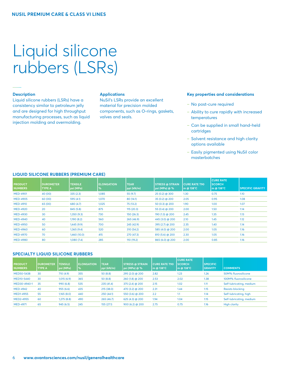## Liquid silicone rubbers (LSRs)

### **Description**

Liquid silicone rubbers (LSRs) have a consistency similar to petroleum jelly and are designed for high throughput manufacturing processes, such as liquid injection molding and overmolding.

### **Applications**

NuSil's LSRs provide an excellent material for precision molded components, such as O-rings, gaskets, valves and seals.

### **Key properties and considerations**

- No post-cure required
- Ability to cure rapidly with increased temperatures
- Can be supplied in small hand-held cartridges
- Solvent resistance and high clarity options available
- Easily pigmented using NuSil color masterbatches

| <b>PRODUCT</b><br><b>NUMBERS</b> | <b>DUROMETER</b><br><b>TYPE A</b> | <b>TENSILE</b><br>psi (MPa) | <b>ELONGATION</b><br>% | <b>TEAR</b><br>ppi (kN/m) | l STRESS @ STRAIN<br> psi (MPa) @ % | <b>CURE RATE T90</b><br>$\mathsf{Im}\,\boldsymbol{\mathrm{\odot}}\,$ 138°C | <b>CURE RATE</b><br><b>SCORCH</b><br>m @ 138°C | <b>SPECIFIC GRAVITY</b> |
|----------------------------------|-----------------------------------|-----------------------------|------------------------|---------------------------|-------------------------------------|----------------------------------------------------------------------------|------------------------------------------------|-------------------------|
| <b>MED-4901</b>                  | 40 (00)                           | 335(2.3)                    | 1,085                  | 55 (9.7)                  | $25(0.2)$ @ 300                     | 1.30                                                                       | 0.75                                           | 1.10                    |
| <b>MED-4905</b>                  | 60 (00)                           | 595(4.1)                    | 1,070                  | 80 (14.1)                 | $35(0.2)$ @ 200                     | 2.05                                                                       | 0.95                                           | 1.08                    |
| <b>MED-4910</b>                  | 65 (00)                           | 680 (4.7)                   | 1,025                  | 75 (13.2)                 | 50 $(0.3)$ @ 200                    | 1.90                                                                       | 1.00                                           | 1.07                    |
| <b>MED-4920</b>                  | 20                                | 845 (5.8)                   | 875                    | 115(20.3)                 | 55 (0.4) @ 200                      | 2.00                                                                       | 1.50                                           | 1.14                    |
| <b>MED-4930</b>                  | 30                                | 1,350(9.3)                  | 730                    | 150(26.3)                 | 190 (1.3) @ 200                     | 2.45                                                                       | 1.35                                           | 1.13                    |
| <b>MED-4940</b>                  | 40                                | 1,190(8.2)                  | 560                    | 265(46.9)                 | 445 (3.0) @ 200                     | 2.10                                                                       | 1.45                                           | 1.12                    |
| <b>MED-4950</b>                  | 50                                | 1,445(9.9)                  | 700                    | 245 (42.9)                | 395 (2.7) @ 200                     | 2.35                                                                       | 1.40                                           | 1.14                    |
| <b>MED-4960</b>                  | 60                                | 1,365(9.4)                  | 520                    | 310(54.2)                 | 585 (4.0) @ 200                     | 2.00                                                                       | 1.05                                           | 1.16                    |
| <b>MED-4970</b>                  | 70                                | 1,460(10.0)                 | 415                    | 270 (47.3)                | 810 (5.6) @ 200                     | 2.30                                                                       | 1.05                                           | 1.16                    |
| <b>MED-4980</b>                  | 80                                | 1,080(7.4)                  | 285                    | 110 (19.2)                | 865 (6.0) @ 200                     | 2.00                                                                       | 0.85                                           | 1.16                    |

### **LIQUID SILICONE RUBBERS (PREMIUM CARE)**

### **SPECIALTY LIQUID SILICONE RUBBERS**

| <b>PRODUCT</b><br><b>NUMBERS</b> | <b>DUROMETER</b><br><b>TYPE A</b> | <b>TENSILE</b><br>  psi (MPa) | <b>ELONGATION</b><br>$\frac{9}{6}$ | <b>TEAR</b><br>ppi (kN/m) | <b>STRESS @ STRAIN</b><br>  psi (MPa) @ % | <b>CURE RATE T90</b><br>$\mathsf{Im}\ \omega$ 138°C | <b>CURE RATE</b><br><b>SCORCH</b><br>m @ 138°C | <b>SPECIFIC</b><br><b>GRAVITY</b> | <b>COMMENTS</b>          |
|----------------------------------|-----------------------------------|-------------------------------|------------------------------------|---------------------------|-------------------------------------------|-----------------------------------------------------|------------------------------------------------|-----------------------------------|--------------------------|
| MED50-5438                       | 30                                | 710 (4.9)                     | 355                                | 50(8.8)                   | 295 (2.0) @ 200                           | 2.82                                                | 1.23                                           | 1.26                              | 50M% fluorosilicone      |
| MED10-5440                       | 30                                | 1,015(6.9)                    | 365                                | 50(8.8)                   | 260 (1.8) @ 200                           | 2.53                                                | 2.02                                           | 1.38                              | 100M% fluorosilicone     |
| MED30-4940-1                     | 35                                | 990 (6.8)                     | 535                                | 235(41.4)                 | $375(2.4)$ @ 200                          | 2.15                                                | 1.02                                           | 1.11                              | Self-lubricating, medium |
| <b>MED-4942</b>                  | 40                                | 955(6.6)                      | 435                                | 215(38.0)                 | 470 (3.2) @ 200                           | 2.31                                                | 1.44                                           | 1.15                              | <b>Resists blocking</b>  |
| <b>MED1-4955</b>                 | 55                                | 1,165(8.0)                    | 440                                | 250(44.1)                 | 550 (3.6) @ 200                           | 2.2                                                 | 1.1                                            | 1.14                              | Self-lubricating, high   |
| MED2-4955                        | 60                                | 1,275(8.8)                    | 490                                | 265(46.7)                 | $625(4.3)$ @ 200                          | 1.94                                                | 1.04                                           | 1.15                              | Self-lubricating, medium |
| <b>MED-4971</b>                  | 65                                | 945(6.5)                      | 245                                | 155(27.1)                 | $900(6.2)$ @ 200                          | 2.75                                                | 0.75                                           | 1.16                              | <b>High clarity</b>      |
|                                  |                                   |                               |                                    |                           |                                           |                                                     |                                                |                                   |                          |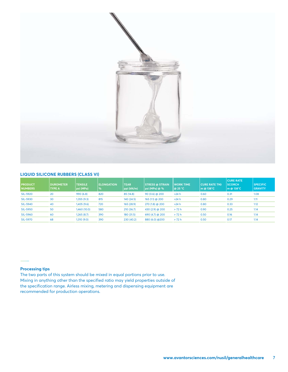

### **LIQUID SILICONE RUBBERS (CLASS VI)**

| <b>PRODUCT</b><br><b>NUMBERS</b> | <b>DUROMETER</b><br><b>TYPE A</b> | <b>TENSILE</b><br>psi (MPa) | <b>LELONGATION</b><br><u> </u> % | <b>TEAR</b><br>ppi (kN/m) | <b>STRESS @ STRAIN</b><br>  psi (MPa) @ % | <b>WORK TIME</b><br> @ 25 °C | <b>CURE RATE T90</b><br> m @ 138°C | <b>CURE RATE</b><br><b>SCORCH</b><br>m @ 138°C | <b>SPECIFIC</b><br><b>GRAVITY</b> |
|----------------------------------|-----------------------------------|-----------------------------|----------------------------------|---------------------------|-------------------------------------------|------------------------------|------------------------------------|------------------------------------------------|-----------------------------------|
| <b>SIL-5920</b>                  | 20                                | 990(6.8)                    | 820                              | 85 (14.8)                 | $90(0.6)$ @ 200                           | >24 h                        | 0.60                               | 0.31                                           | 1.08                              |
| <b>SIL-5930</b>                  | 30                                | 1,355 (9.3)                 | 815                              | 140 (24.5)                | 165 (1.1) @ 200                           | >24 h                        | 0.80                               | 0.29                                           | 1.11                              |
| <b>SIL-5940</b>                  | 40                                | 1,405 (9.6)                 | 720                              | 165(28.9)                 | 270 (1.8) @ 200                           | >24 h                        | 0.80                               | 0.33                                           | 1.12                              |
| <b>SIL-5950</b>                  | 50                                | 1,460 (10.0)                | 580                              | 210(36.7)                 | 430 (2.9) @ 200                           | >72 h                        | 0.90                               | 0.25                                           | 1.14                              |
| <b>SIL-5960</b>                  | 60                                | 1,265(8.7)                  | 390                              | 180 (31.5)                | 690 (4.7) @ 200                           | >72 h                        | 0.50                               | 0.16                                           | 1.14                              |
| <b>SIL-5970</b>                  | 68                                | 1,310 (9.0)                 | 390                              | 230 (40.2)                | 880 (6.0) @200                            | >72 h                        | 0.50                               | 0.17                                           | 1.14                              |
|                                  |                                   |                             |                                  |                           |                                           |                              |                                    |                                                |                                   |

### **Processing tips**

The two parts of this system should be mixed in equal portions prior to use. Mixing in anything other than the specified ratio may yield properties outside of the specification range. Airless mixing, metering and dispensing equipment are recommended for production operations.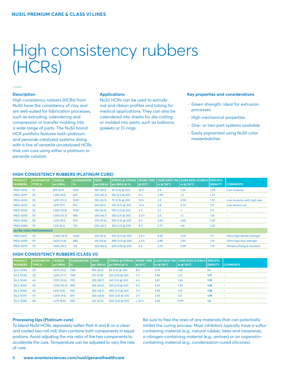### High consistency rubbers (HCRs)

### **Description**

High consistency rubbers (HCRs) from NuSil have the consistency of clay and are well-suited for fabrication processes, such as extruding, calendering and compression or transfer molding into a wide range of parts. The NuSil brand HCR portfolio features both platinum and peroxide catalyzed systems along with a line of versatile uncatalyzed HCRs that can cure using either a platinum or peroxide catalyst.

### **Applications**

NuSil HCRs can be used to extrude rod and ribbon profiles and tubing for medical applications. They can also be calendered into sheets for die-cutting or molded into parts, such as balloons, gaskets or O-rings.

### **Key properties and considerations**

- ‒ Green strength: ideal for extrusion processes
- High mechanical properties
- One- or two-part systems available
- Easily pigmented using NuSil color masterbatches

### **HIGH CONSISTENCY RUBBERS (PLATINUM CURE)**

| <b>PRODUCT</b><br><b>NUMBERS</b> | <b>DUROMETER</b><br><b>TYPE A</b> | <b>TENSILE</b><br>psi (MPa) | <b>ELONGATION</b><br>$\%$ | <b>TEAR</b><br>ppi (kN/m) | <b>STRESS @ STRAIN</b><br>psi (MPa) @ % | <b>WORK TIME</b><br>@ 25°C | <b>CURE RATE T90</b><br>m @ 116°C | <b>CURE RATE SCORCH</b><br>  m @ 116°C | <b>SPECIFIC</b><br><b>GRAVITY</b> | <b>COMMENTS</b>             |
|----------------------------------|-----------------------------------|-----------------------------|---------------------------|---------------------------|-----------------------------------------|----------------------------|-----------------------------------|----------------------------------------|-----------------------------------|-----------------------------|
| <b>MED-4014</b>                  | 15                                | 875 (6.0)                   | 1240                      | 160 (28.2)                | 45 (0.3) @ 200                          | 25h                        | 2.5                               | 1.25                                   | 1.08                              | Low modulus                 |
| <b>MED-4019</b>                  | 55                                | 1,290 (8.9)                 | 645                       | 205(36.2)                 | 310 $(2.1)$ @ 200                       | 5 <sub>h</sub>             | 2.99                              | 1.3                                    | 1.23                              |                             |
| <b>MED-4020</b>                  | 25                                | 1,495(10.3)                 | 1200                      | 190 (33.5)                | 70 (0.5) @ 200                          | 10 <sub>h</sub>            | 2.3                               | 0.95                                   | 1.10                              | Low modulus with high tear  |
| <b>MED-4025</b>                  | 30                                | 1,410(9.7)                  | 910                       | 165(29.1)                 | 105 (0.7) @ 200                         | 1.5 <sub>h</sub>           | 2.8                               | 0.75                                   | 1.11                              | Low tension set             |
| <b>MED-4035</b>                  | 35                                | 1.565(10.8)                 | 1055                      | 195 (34.4)                | 195 (1.3) @ 200                         | 2 <sub>h</sub>             | 2.7                               |                                        | 1.11                              |                             |
| <b>MED-4050</b>                  | 50                                | 1,500 (10.3)                | 985                       | 265(46.7)                 | 305 $(2.1)$ @ 200                       | 3.5h                       | 2.6                               | 1.1                                    | 1.16                              |                             |
| <b>MED-4065</b>                  | 65                                | 1,230 (8.5)                 | 970                       | 270 (47.6)                | 355 (2.4) @ 200                         | 6 h                        | 2.65                              | 0.85                                   | 1.20                              | ۰                           |
| <b>MED-4080</b>                  | 75                                | 1,210 (8.3)                 | 735                       | 250(44.1)                 | 450 (3.1) @ 200                         | 8h                         | 2.75                              | 0.8                                    | 1.20                              |                             |
|                                  | <b>ULTRA-HIGH PERFORMANCE</b>     |                             |                           |                           |                                         |                            |                                   |                                        |                                   |                             |
| <b>MED-4027</b>                  | 30                                | 2,300 (15.9)                | 1,050                     | 235(41.2)                 | 100 (0.7) @ 200                         | 2.5h                       | 4.30                              | 2.00                                   | 1.11                              | Ultra-high tensile strength |
| <b>MED-4055</b>                  | 55                                | 1.655(11.4)                 | 880                       | 315(55.6)                 | 490 (3.4) @ 200                         | 2.5h                       | 2.85                              | 1.00                                   | 1.14                              | Ultra-high tear strength    |
| <b>MED-4070</b>                  | 70                                | 1,460 (10.1)                | 725                       | 320 (56.4)                | 635 (4.8) @ 200                         | 2 <sub>h</sub>             | 2.70                              | 0.90                                   | 1.19                              | Abrasion/fatigue-resistant  |

### **HIGH CONSISTENCY RUBBERS (CLASS VI)**

| <b>PRODUCT</b><br><b>NUMBERS</b> | <b>I DUROMETER</b><br><b>TYPE A</b> | <b>TENSILE</b><br>  psi (MPa) | <b>ELONGATION</b><br>$\frac{9}{6}$ | <b>TEAR</b><br>ppi (kN/m) | psi(MPa)  @ 96   | @ 25°C          | l m @ 116°C | I STRESS @ STRAIN_I WORK TIME_I CURE RATE T90 I CURE RATE SCORCH I SPECIFIC_<br>l m @ 116°C | <b>GRAVITY</b> | <b>COMMENTS</b>          |
|----------------------------------|-------------------------------------|-------------------------------|------------------------------------|---------------------------|------------------|-----------------|-------------|---------------------------------------------------------------------------------------------|----------------|--------------------------|
|                                  |                                     |                               |                                    |                           |                  |                 |             |                                                                                             |                |                          |
| SIL2-5020                        | 20                                  | 1,475 (10.2)                  | 1185                               | 195 (34.3)                | $65(0.5)$ @ 200  | 8 h             | 4.79        | 1.42                                                                                        | 1.1            |                          |
| SIL2-5030                        | 30                                  | 1.690(11.7)                   | 1140                               | 215 (37.8)                | 120 (0.8) @ 200  | 5h              | 2.94        | 1.31                                                                                        | 1.11           | $\overline{\phantom{a}}$ |
| SIL2-5040                        | 40                                  | 1,510(10.4)                   | 1115                               | 220 (38.7)                | 140 (1.0) @ 200  | 4 h             | 3.81        | 1.66                                                                                        | 1.15           | $\overline{\phantom{a}}$ |
| SIL2-5050                        | 50                                  | 1,500 (10.3) 990              |                                    | 255(45.0)                 | $335(2.3)$ @ 200 | 4 h             | 4.74        | 1.49                                                                                        | 1.16           | $\overline{\phantom{a}}$ |
| SIL2-5060                        | 60                                  | 1,415(9.8)                    | 920                                | 265(46.7)                 | 390 (2.7) @ 200  | 11 <sub>h</sub> | 5.95        | 1.67                                                                                        | 1.18           | $\overline{\phantom{a}}$ |
| SIL2-5070                        | 70                                  | 1,300 (9.0) 810               |                                    | 260 (45.8)                | $400(2.8)$ @ 200 | 2 <sub>h</sub>  | 3.55        | 1.12                                                                                        | 1.19           |                          |
| SIL2-5080                        | 80                                  | 1,275(8.8)                    | 665                                | 210 (37.0)                | $500(3.4)$ @ 200 | >24 h           | 3.66        | 0.99                                                                                        | 1.2            |                          |

### **Processing tips (Platinum cure)**

To blend NuSil HCRs, separately soften Part A and B on a clean and cooled two-roll mill, then combine both components in equal portions. Avoid adjusting the mix ratio of the two components to accelerate the cure. Temperature can be adjusted to vary the rate of cure.

Be sure to free the area of any materials that can potentially inhibit the curing process. Most inhibitors typically have a sulfurcontaining material (e.g., natural rubber, latex and neoprene), a nitrogen-containing material (e.g., amines) or an organotincontaining material (e.g., condensation-cured silicones).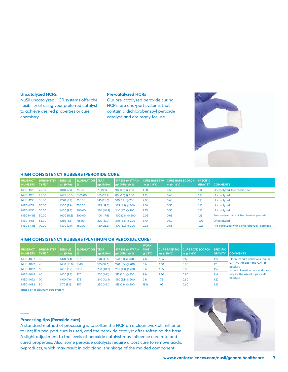### **Uncatalyzed HCRs**

NuSil uncatalyzed HCR systems offer the flexibility of using your preferred catalyst to achieve desired properties or cure chemistry.

### **Pre-catalyzed HCRs**

Our pre-catalyzed peroxide curing HCRs, are one-part systems that contain a dichlorobenzoyl peroxide catalyst and are ready for use.

### **HIGH CONSISTENCY RUBBERS (PEROXIDE CURE)**

| <b>PRODUCT</b><br><b>NUMBERS</b> | <b>DUROMETER</b><br><b>TYPE A</b> | <b>TENSILE</b><br>psi (MPa) | <b>ELONGATION TEAR</b><br>$\frac{9}{6}$ | ppi (kN/m) | <b>STRESS @ STRAIN</b><br>psi (MPa) @ % | <b>CURE RATE T90</b><br>m @ 116°C | <b>CURE RATE SCORCH</b><br>m @ 116°C | <b>SPECIFIC</b><br><b>GRAVITY</b> | <b>COMMENTS</b>                             |
|----------------------------------|-----------------------------------|-----------------------------|-----------------------------------------|------------|-----------------------------------------|-----------------------------------|--------------------------------------|-----------------------------------|---------------------------------------------|
| <b>MED-4128</b>                  | 25.00                             | 1,010(6.9)                  | 780.00                                  | 70 (12.3)  | $90(0.6)$ @ 200                         | 1.60                              | 0.50                                 | 1.11                              | Uncatalyzed, low-tension set                |
| <b>MED-4120</b>                  | 25.00                             | 1.445 (10.0)                | 1005.00                                 | 165(29.1)  | $80(0.6)$ @ 200                         | 1.75                              | 0.65                                 | 1.10                              | <b>Uncatalyzed</b>                          |
| <b>MED-4135</b>                  | 35.00                             | 1,220 (8.4)                 | 760.00                                  | 145(25.6)  | 180 (1.2) @ 200                         | 2.00                              | 0.65                                 | 1.10                              | <b>Uncatalyzed</b>                          |
| <b>MED-4174</b>                  | 50.00                             | 1,300 (8.9)                 | 750.00                                  | 225(39.7)  | $325(2.2)$ @ 200                        | 1.60                              | 0.55                                 | 1.15                              | <b>Uncatalyzed</b>                          |
| <b>MED-4150</b>                  | 50.00                             | 1,400(9.7)                  | 800.00                                  | 230 (40.9) | $240(1.7)$ @ 200                        | 1.85                              | 0.55                                 | 1.16                              | Uncatalvzed                                 |
| <b>MED4-4115</b>                 | 50.00                             | 1,600(11.3)                 | 500.00                                  | 100 (17.6) | 400 (2.8) @ 200                         | 2.05                              | 0.65                                 | 1.15                              | Pre-catalyzed with dichlorobenzovl peroxide |
| <b>MED-4165</b>                  | 65.00                             | 1,250(8.6)                  | 715.00                                  | 225 (39.7) | 370 (2.6) @ 200                         | 1.70                              | 0.50                                 | 1.20                              | Uncatalyzed                                 |
| <b>MED4-4116</b>                 | 70.00                             | 1.300 (9.0)                 | 450.00                                  | 130 (23.3) | 470 (3.2) @ 200                         | 2.25                              | 0.55                                 | 1.22                              | Pre-catalyzed with dichlorobenzovl peroxide |

#### **HIGH CONSISTENCY RUBBERS (PLATINUM OR PEROXIDE CURE)**

| <b>PRODUCT</b><br><b>NUMBERS</b> | <b>DUROMETER</b><br><b>TYPE A</b> | <b>TENSILE</b><br>psi (MPa) | <b>ELONGATION TEAR</b><br>$\mathcal{A}$ | ppi (kN/m) | <b>STRESS @ STRAIN</b><br>$psi$ (MPa) $@$ % | <b>WORK</b><br>TIME*<br>$\sqrt{a}$ 25°C | <b>CURE RATE T90</b><br>m @ $116^{\circ}$ C | <b>CURE RATE SCORCH</b><br>m @ 116°C | <b>SPECIFIC</b><br><b>GRAVITY</b> | <b>COMMENTS</b>                         |
|----------------------------------|-----------------------------------|-----------------------------|-----------------------------------------|------------|---------------------------------------------|-----------------------------------------|---------------------------------------------|--------------------------------------|-----------------------------------|-----------------------------------------|
| <b>MED-4032</b>                  | - 30                              | 1,370 (9.4)                 | 1070                                    | 190 (33.5) | 160 (1.1) @ 200                             | 4 <sub>h</sub>                          | 2.85                                        | 1.15                                 | 1.10                              | Platinum cure variations require        |
| <b>MED-4042</b>                  | 40                                | 1,450 (10.0)                | 1040                                    | 185 (32.6) | $220(1.5)$ @ $200$                          | 5 <sub>h</sub>                          | 2.60                                        | 0.80                                 | 1.11                              | CAT-40 inhibitor and CAT-55<br>catalyst |
| <b>MED-4052</b>                  | 50                                | 1,400(9.7)                  | 1100                                    | 230 (40.6) | 280 (1.9) @ 200                             | 3 <sub>h</sub>                          | 2.35                                        | 0.85                                 | 1.16                              | to cure. Peroxide cure variations       |
| <b>MED-4062</b>                  | - 60                              | 1,400 (9.7)                 | 970                                     | 250 (44.1) | $315(2.2)$ @ 200                            | 9 <sub>h</sub>                          | 2.30                                        | 0.80                                 | 1.16                              | require the use of a peroxide           |
| <b>MED-4072</b>                  | - 70                              | 1,100(7.6)                  | 875                                     | 240 (42.3) | 450 (3.1) @ 200                             | 2 <sub>h</sub>                          | 1.75                                        | 0.60                                 | 1.22                              | catalyst.                               |
| <b>MED-4082</b>                  | -80                               | 1.170 (8.1)                 | 850                                     | 250 (44.1) | $415(2.9)$ @ 200                            | 18 <sub>h</sub>                         | 1.95                                        | 0.60                                 | 1.22                              |                                         |

Based on a platinum cure system

### **Processing tips (Peroxide cure)**

A standard method of processing is to soften the HCR on a clean two-roll mill prior to use; if a two-part cure is used, add the peroxide catalyst after softening the base. A slight adjustment to the levels of peroxide catalyst may influence cure rate and cured properties. Also, some peroxide catalysts require a post cure to remove acidic byproducts, which may result in additional shrinkage of the molded component.

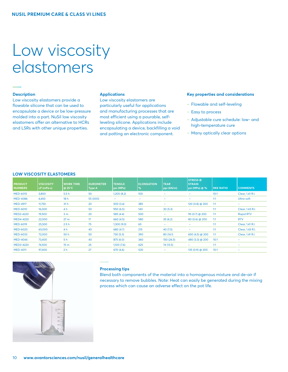### Low viscosity elastomers

### **Description**

Low viscosity elastomers provide a flowable silicone that can be used to encapsulate a device or be low-pressure molded into a part. NuSil low viscosity elastomers offer an alternative to HCRs and LSRs with other unique properties.

### **Applications**

Low viscosity elastomers are particularly useful for applications and manufacturing processes that are most efficient using a pourable, selfleveling silicone. Applications include encapsulating a device, backfilling a void and potting an electronic component.

### **Key properties and considerations**

- ‒ Flowable and self-leveling
- ‒ Easy to process
- Adjustable cure schedule: low- and high-temperature cure
- Many optically clear options

### **LOW VISCOSITY ELASTOMERS**

| <b>PRODUCT</b><br><b>NUMBERS</b> | <b>VISCOSITY</b><br>cP (mPa-s) | <b>WORK TIME</b><br>$@$ 25°C | <b>DUROMETER</b><br><b>Type A</b> | <b>TENSILE</b><br>psi (MPa) | <b>ELONGATION</b><br>$\%$ | <b>TEAR</b><br>ppi (kN/m) | <b>STRESS</b> @<br><b>STRAIN</b><br>psi (MPa) @ % | <b>MIX RATIO</b> | <b>COMMENTS</b>              |
|----------------------------------|--------------------------------|------------------------------|-----------------------------------|-----------------------------|---------------------------|---------------------------|---------------------------------------------------|------------------|------------------------------|
| <b>MED-6015</b>                  | 3,800                          | 5.5h                         | 50                                | 1,200(8.2)                  | 100                       | $\overline{\phantom{a}}$  | $\overline{\phantom{0}}$                          | 10:1             | Clear, 1.41 R.I.             |
| <b>MED-4086</b>                  | 6,450                          | 18 <sub>h</sub>              | 55 (000)                          | -                           | -                         | $\overline{\phantom{m}}$  | -                                                 | 1:1              | Ultra-soft                   |
| <b>MED-4917</b>                  | 11,750                         | 31h                          | 20                                | 500(3.4)                    | 385                       | $\overline{\phantom{m}}$  | 120 (0.8) @ 200                                   | 1:1              | $\overline{\phantom{a}}$     |
| <b>MED-6010</b>                  | 16,000                         | 4 <sub>h</sub>               | 50                                | 950(6.5)                    | 140                       | 30(5.3)                   | -                                                 | 1:1              | Clear, 1.43 R.I.             |
| MED2-4220                        | 19,500                         | 3 <sub>m</sub>               | 20                                | 585 (4.4)                   | 500                       | $\overline{\phantom{m}}$  | 95 (0.7) @ 200                                    | 1:1              | <b>Rapid RTV</b>             |
| <b>MED4-4220</b>                 | 22,000                         | 27 <sub>m</sub>              | 17                                | 660(4.5)                    | 580                       | 35(6.2)                   | $80(0.6)$ @ 200                                   | 1:1              | <b>RTV</b>                   |
| <b>MED-6019</b>                  | 25,500                         | 2.5 <sub>h</sub>             | 75                                | 1,300(9.0)                  | 65                        | $\overline{\phantom{0}}$  |                                                   | 1:1              | Clear, 1.41 R.I.             |
| <b>MED-6020</b>                  | 65,000                         | 4 h                          | 40                                | 680 (4.7)                   | 215                       | 40 (7.5)                  | -                                                 | 1:1              | Clear, 1.43 R.I.             |
| <b>MED-6033</b>                  | 72,000                         | 50 h                         | 50                                | 730 (5.3)                   | 390                       | 80 (14.1)                 | 650 (4.5) @ 200                                   | 1:1              | Clear, 1.41 R.I.             |
| <b>MED-4044</b>                  | 73,400                         | 5h                           | 40                                | 875 (6.0)                   | 360                       | 150(26.5)                 | 480 (3.3) @ 200                                   | 10:1             | $\qquad \qquad \blacksquare$ |
| MED3-4220                        | 74,500                         | 15 <sub>m</sub>              | 25                                | 1,100(7.6)                  | 625                       | 74 (13.5)                 |                                                   | 1:1              | $\qquad \qquad \blacksquare$ |
| <b>MED-4011</b>                  | 97,400                         | 2 <sub>h</sub>               | 27                                | 670(4.6)                    | 530                       |                           | 135 (0.9) @ 200                                   | 10:1             | $\qquad \qquad \blacksquare$ |



### **Processing tips**

Blend both components of the material into a homogenous mixture and de-air if necessary to remove bubbles. Note: Heat can easily be generated during the mixing process which can cause an adverse effect on the pot life.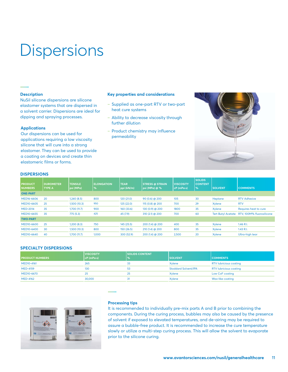### **Dispersions**

### **Description**

NuSil silicone dispersions are silicone elastomer systems that are dispersed in a solvent carrier. Dispersions are ideal for dipping and spraying processes.

### **Applications**

Our dispersions can be used for applications requiring a low viscosity silicone that will cure into a strong elastomer. They can be used to provide a coating on devices and create thin elastomeric films or forms.

### **Key properties and considerations**

- ‒ Supplied as one-part RTV or two-part heat cure systems
- Ability to decrease viscosity through further dilution
- Product chemistry may influence permeability



### **DISPERSIONS**

| <b>PRODUCT</b><br><b>NUMBERS</b> | <b>DUROMETER</b><br>TYPE A | <b>TENSILE</b><br>psi (MPa) | <b>ELONGATION</b><br><u>%</u> | <b>TEAR</b><br>ppi (kN/m) | <b>STRESS @ STRAIN</b><br>psi (MPa) @ % | <b>VISCOSITY</b><br>cP (mPa·s) | <b>SOLIDS</b><br><b>CONTENT</b><br>$\%$ | <b>SOLVENT</b>            | <b>COMMENTS</b>           |
|----------------------------------|----------------------------|-----------------------------|-------------------------------|---------------------------|-----------------------------------------|--------------------------------|-----------------------------------------|---------------------------|---------------------------|
| <b>ONE-PART</b>                  |                            |                             |                               |                           |                                         |                                |                                         |                           |                           |
| MED16-6606                       | 20                         | 1,240(8.5)                  | 800                           | 120(21.0)                 | $90(0.6)$ @ 200                         | 105                            | 30                                      | Heptane                   | <b>RTV Adhesive</b>       |
| MED10-6605                       | 25                         | 1,500 (10.3)                | 950                           | 125 (22.0)                | 115 $(0.8)$ @ 200                       | 700                            | 29                                      | Xylene                    | <b>RTV</b>                |
| <b>MED-2014</b>                  | 35                         | 1,700 (11.7)                | 900                           | 160 (33.6)                | 130 (0.9) @ 200                         | 1800                           | 35                                      | Xylene                    | Requires heat to cure     |
| MED10-6655                       | 35                         | 775(5.3)                    | 425                           | 45 (7.9)                  | 310 $(2.1)$ @ 200                       | 700                            | 60                                      | <b>Tert Butyl Acetate</b> | RTV. 100M% fluorosilicone |
| <b>TWO-PART</b>                  |                            |                             |                               |                           |                                         |                                |                                         |                           |                           |
| MED10-6600                       | 25                         | 1,200(8.3)                  | 750                           | 145(25.5)                 | $200(1.4)$ @ $200$                      | 400                            | 35                                      | Xylene                    | 1.46 R.I.                 |
| MED10-6400                       | 30                         | 1,500 (10.3)                | 800                           | 150(26.5)                 | $210(1.4)$ @ $200$                      | 800                            | 35                                      | Xylene                    | 1.43 R.I.                 |
| MED10-6640                       | 40                         | 1,700 (11.7)                | 1,000                         | 300 (52.9)                | $200(1.4)$ @ $200$                      | 2,500                          | 20                                      | Xylene                    | Ultra-high tear           |

### **SPECIALTY DISPERSIONS**

| <b>PRODUCT NUMBERS</b> | <b>VISCOSITY</b><br> cP(mPa·s) | <b>SOLIDS CONTENT</b><br>.% | <b>SOLVENT</b>              | <b>COMMENTS</b>               |
|------------------------|--------------------------------|-----------------------------|-----------------------------|-------------------------------|
| MED10-4161             | 265                            |                             | Xylene                      | <b>RTV</b> lubricious coating |
| <b>MED-4159</b>        | 130                            | 53                          | <b>Stoddard Solvent/IPA</b> | <b>RTV</b> lubricious coating |
| MED10-6670             |                                |                             | <b>Xvlene</b>               | Low CoF coating               |
| <b>MED-4162</b>        | 30,000                         |                             | Xylene                      | Wax-like coating              |



### **Processing tips**

It is recommended to individually pre-mix parts A and B prior to combining the components. During the curing process, bubbles may also be caused by the presence of solvent if exposed to elevated temperatures, and de-airing may be required to assure a bubble-free product. It is recommended to increase the cure temperature slowly or utilize a multi-step curing process. This will allow the solvent to evaporate prior to the silicone curing.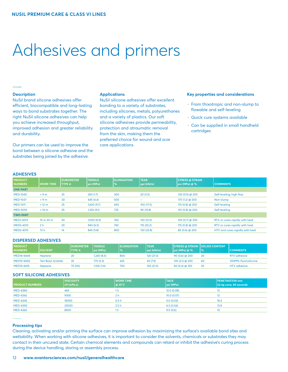### Adhesives and primers

### **Description**

NuSil brand silicone adhesives offer efficient, biocompatible and long-lasting ways to bond substrates together. The right NuSil silicone adhesives can help you achieve increased throughput, improved adhesion and greater reliability and durability.

Our primers can be used to improve the bond between a silicone adhesive and the substrates being joined by the adhesive.

#### **Applications**

NuSil silicone adhesives offer excellent bonding to a variety of substrates, including silicones, metals, polyurethanes and a variety of plastics. Our soft silicone adhesives provide permeability, protection and atraumatic removal from the skin, making them the preferred choice for wound and scar care applications

### **Key properties and considerations**

- ‒ From thixotropic and non-slump to flowable and self-leveling
- Quick cure systems available
- Can be supplied in small handheld cartridges

### **ADHESIVES**

| <b>PRODUCT</b>   |                  | <b>DUROMETER</b> | <b>TENSILE</b> | <b>ELONGATION</b> | <b>TEAR</b> | <b>STRESS @ STRAIN</b> |                                 |
|------------------|------------------|------------------|----------------|-------------------|-------------|------------------------|---------------------------------|
| <b>NUMBERS</b>   | <b>WORK TIME</b> | <b>TYPE A</b>    | psi (MPa)      | $\sim$            | ppi (kN/m)  | psi(MPa)  @ 96         | <b>COMMENTS</b>                 |
| <b>ONE-PART</b>  |                  |                  |                |                   |             |                        |                                 |
| <b>MED-1040</b>  | < 9m             | 25               | 250(1.7)       | 300               | 20(3.5)     | 130 (0.9) @ 200        | Self-leveling, high flow        |
| <b>MED-1037</b>  | < 9m             | 30               | 645 (4.4)      | 500               | -           | 170 (1.2) @ 200        | Non-slump                       |
| <b>MED-1011</b>  | < 12 m           | 25               | 1,400 (9.7)    | 655               | 100 (17.5)  | 115 (0.8) @ 200        | Self-leveling                   |
| <b>MED-1000</b>  | < 14 m           | 25               | 1,325 (9.1)    | 725               | 90 (15.8)   | 110 $(0.8)$ @ 200      | Self-leveling                   |
| <b>TWO-PART</b>  |                  |                  |                |                   |             |                        |                                 |
| <b>MED1-4013</b> | 15 m 20 m        | 20               | 1,000(6.9)     | 760               | 120 (21.0)  | 105 (0.7) @ 200        | RTV or cures rapidly with heat  |
| MED3-4013        | 2 <sub>h</sub>   | 20               | 940(6.5)       | 740               | 115(20.2)   | 115 (0.8) $@$ 200      | RTV or cures rapidly with heat  |
| MED2-4013        | 72 h             | 14               | 845 (5.8)      | 800               | 130 (22.8)  | 85 (0.6) @ 200         | HTV and cures rapidly with heat |

### **DISPERSED ADHESIVES**

| <b>PRODUCT</b> |                           | <b>DUROMETER</b> | <b>TENSILE</b> | <b>ELONGATION</b> | <b>TEAR</b> |                  | <b>STRESS @ STRAIN SOLIDS CONTENT</b> |                      |
|----------------|---------------------------|------------------|----------------|-------------------|-------------|------------------|---------------------------------------|----------------------|
| <b>NUMBERS</b> | <b>SOLVENT</b>            | <b>TYPE A</b>    | psi (MPa)      | $\%$              | ppi (kN/m)  | psi (MPa) @ %    | ' %                                   | <b>COMMENTS</b>      |
| MED16-6606     | Heptane                   | 20               | 1,240 (8.5)    | 800               | 120 (21.0)  | $90(0.6)$ @ 200  | 30                                    | <b>RTV</b> adhesive  |
| MED10-6655     | <b>Tert Butyl Acetate</b> | 35               | 775(5.3)       | 425               | 45 (7.9)    | $310(2.1)$ @ 200 | 60                                    | 100M% fluorosilicone |
| MED10-6615     | <b>Heptane</b>            | 70 (00)          | 1.100 (7.6)    | 700               | 120 (21.0)  | $60(0.4)$ @ 100  | 35                                    | <b>HTV</b> adhesive  |

### **SOFT SILICONE ADHESIVES**

| <b>PRODUCT NUMBERS</b> | <b>VISCOSITY</b><br> cP(mPa·s) | <b>WORK TIME</b><br> ര 25°C | <b>TACK</b><br>psi (MPa) | <b>PENETRATION mm</b><br>62.4g cone, 60 seconds |
|------------------------|--------------------------------|-----------------------------|--------------------------|-------------------------------------------------|
| <b>MED-6360</b>        | 465                            | 1 h                         | 12.0(0.08)               |                                                 |
| <b>MED-6342</b>        | 9300                           | 2 <sub>h</sub>              | 10.0(0.07)               |                                                 |
| <b>MED-6345</b>        | 16000                          | 0.5 <sub>h</sub>            | 5.0(0.03)                | 16.5                                            |
| <b>MED-6350</b>        | 23000                          | 2.5h                        | 6.5(0.04)                | 13.9                                            |
| <b>MED-6362</b>        | 8500                           | 1 h                         | 9.0(0.6)                 |                                                 |

**Processing tips**

Cleaning, activating and/or priming the surface can improve adhesion by maximizing the surface's available bond sites and wettability. When working with silicone adhesives, it is important to consider the solvents, chemicals or substrates they may contact in their uncured state. Certain chemical elements and compounds can retard or inhibit the adhesive's curing process during the device handling, storing or assembly process.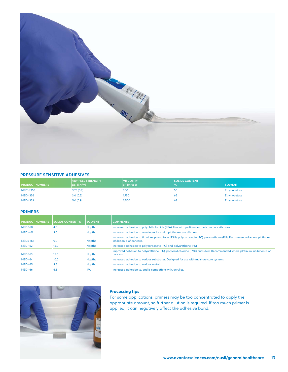

### **PRESSURE SENSITIVE ADHESIVES**

| <b>PRODUCT NUMBERS</b> | 180° PEEL STRENGTH<br>ppi (kN/m) | <b>VISCOSITY</b><br>$ cP(mPa-s) $ | <b>SOLIDS CONTENT</b> | <b>SOLVENT</b>       |
|------------------------|----------------------------------|-----------------------------------|-----------------------|----------------------|
| <b>MED1-1356</b>       | 3.75(0.7)                        | 300                               | 50                    | <b>Ethyl Acetate</b> |
| <b>MED-1356</b>        | 3.0(0.5)                         | 1,750                             |                       | <b>Ethyl Acetate</b> |
| <b>MED-1353</b>        | 5.0(0.9)                         | 3,500                             | 68                    | <b>Ethyl Acetate</b> |

### **PRIMERS**

| <b>PRODUCT NUMBERS</b> | <b>SOLIDS CONTENT %</b> | <b>SOLVENT</b> | <b>COMMENTS</b>                                                                                                                                   |
|------------------------|-------------------------|----------------|---------------------------------------------------------------------------------------------------------------------------------------------------|
| <b>MED-160</b>         | 4.0                     | Naptha         | Increased adhesion to polyphthalamide (PPA). Use with platinum or moisture cure silicones.                                                        |
| <b>MED1-161</b>        | 4.0                     | Naptha         | Increased adhesion to aluminum. Use with platinum cure silicones.                                                                                 |
| <b>MED6-161</b>        | 9.0                     | Naptha         | Increased adhesion to titanium, polysulfone (PSU), polycarbonate (PC), polyurethane (PU). Recommended where platinum<br>inhibition is of concern. |
| <b>MED-162</b>         | 15.0                    | Naptha         | Increased adhesion to polycarbonate (PC) and polyurethane (PU)                                                                                    |
| <b>MED-163</b>         | 15.0                    | Naptha         | Improved adhesion to polyurethane (PU), polyvinyl chloride (PVC) and silver. Recommended where platinum inhibition is of<br>concern.              |
| <b>MED-164</b>         | 10.0                    | Naptha         | Increased adhesion to various substrates. Designed for use with moisture cure systems.                                                            |
| <b>MED-165</b>         | 4.5                     | Naptha         | Increased adhesion to various metals.                                                                                                             |
| <b>MED-166</b>         | 6.5                     | <b>IPA</b>     | Increased adhesion to, and is compatible with, acrylics.                                                                                          |



### **Processing tips**

For some applications, primers may be too concentrated to apply the appropriate amount, so further dilution is required. If too much primer is applied, it can negatively affect the adhesive bond.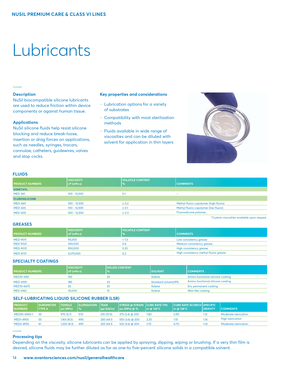## Lubricants

### **Description**

NuSil biocompatible silicone lubricants are used to reduce friction within device components or against human tissue.

### **Applications**

NuSil silicone fluids help resist silicone blocking and reduce break-loose, insertion or drag forces on applications, such as needles, syringes, trocars, cannulae, catheters, guidewires, valves and stop cocks.

### **Key properties and considerations**

- Lubrication options for a variety of substrates
- ‒ Compatibility with most sterilization methods
- Fluids available in wide range of viscosities and can be diluted with solvent for application in thin layers



### **FLUIDS**

| <b>PRODUCT NUMBERS</b> | <b>VISCOSITY</b><br>cP (mPa-s) | <b>VOLATILE CONTENT</b><br>  % | <b>COMMENTS</b>                       |
|------------------------|--------------------------------|--------------------------------|---------------------------------------|
| <b>DIMETHYL</b>        |                                |                                |                                       |
| <b>MED-361</b>         | $100 - 12.500$                 | $0$ :                          | $\overline{\phantom{a}}$              |
| <b>FLUROSILICONE</b>   |                                |                                |                                       |
| <b>MED-460</b>         | $350 - 12,500$                 | $\leq 0.2$                     | Methyl fluoro copolymer (high fluoro) |
| <b>MED-420</b>         | $100 - 12,500$                 | $\leq$ 0.1                     | Methyl fluoro copolymer (low fluoro)  |
| <b>MED-400</b>         | $350 - 12,500$                 | $\leq 0.3$                     | Fluorosilicone polymer                |

\*Custom viscosities available upon request

### **GREASES**

| <b>PRODUCT NUMBERS</b> | <b>VISCOSITY</b><br> cP(mPa·s) | <b>VOLATILE CONTENT</b><br>. % | <b>COMMENTS</b>                       |
|------------------------|--------------------------------|--------------------------------|---------------------------------------|
| <b>MED-9011</b>        | 95,000                         | < 1.0                          | Low consistency grease                |
| <b>MED-9021</b>        | 300,000                        | 0.6                            | Medium consistency grease             |
| <b>MED-9031</b>        | 900,000                        | 0.25                           | High consistency grease               |
| <b>MED-6731</b>        | 2,070,000                      | 0.2                            | High consistency methyl fluoro grease |

### **SPECIALTY COATINGS**

| <b>PRODUCT NUMBERS</b> | <b>VISCOSITY</b><br> cP(mPa·s) | <b>SOLIDS CONTENT</b><br>$\frac{1}{2}$ | <b>SOLVENT</b>              | <b>COMMENTS</b>                   |
|------------------------|--------------------------------|----------------------------------------|-----------------------------|-----------------------------------|
| MED10-4161             | 150                            | 33                                     | <b>Xvlene</b>               | Amino functional silicone coating |
| <b>MED-4159</b>        | 185                            | 53                                     | <b>Stoddard solvent/IPA</b> | Amino functional silicone coating |
| MED10-6670             |                                | 25                                     | Xylene                      | Dry permanent coating             |
| <b>MED-4162</b>        | 30,000                         |                                        | <b>Xvlene</b>               | Wax-like coating                  |

### **SELF-LUBRICATING LIQUID SILICONE RUBBER (LSR)**

| <b>PRODUCT</b><br><b>NUMBERS</b> | <b>DUROMETER</b><br><b>TYPE A</b> | <b>TENSILE</b><br>  psi (MPa) | <b>IELONGATION</b><br><b>N</b> % | <b>ITEAR</b><br> ppi (kN/m) | STRESS @ STRAIN CURE RATE T90<br> psi(MPa)  @ 96 | $\mathsf{Im}\ \omega$ 138°C | <b>CURE RATE SCORCH SPECIFIC</b><br>$m \omega$ 138°C | <b>GRAVITY</b> | <b>COMMENTS</b>         |
|----------------------------------|-----------------------------------|-------------------------------|----------------------------------|-----------------------------|--------------------------------------------------|-----------------------------|------------------------------------------------------|----------------|-------------------------|
| MED30-4940-1                     |                                   | 970 (6.7)                     | 570                              | 210 (37.0)                  | 375 (2.4) @ 200                                  | 1.80                        | 0.90                                                 | 1.12           | Moderate lubrication    |
| <b>MED1-4955</b>                 | 55                                | ,165 (8.0)                    | 490                              | 250 (44.1)                  | 550 (3.6) @ 200                                  | 2.20                        | 1.10                                                 | 1.14           | <b>High lubrication</b> |
| <b>MED2-4955</b>                 | 61                                | ,200(8.3)                     | 490                              | 250(44.1)                   | $525(3.6)$ @ 200                                 | 1.70                        | 0.70                                                 | 1.14           | Moderate lubrication    |

### **Processing tips**

Depending on the viscosity, silicone lubricants can be applied by spraying, dipping, wiping or brushing. If a very thin film is desired, silicone fluids may be further diluted as far as one-to five-percent silicone solids in a compatible solvent.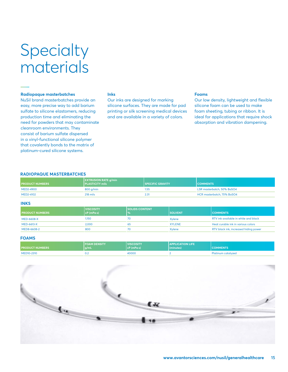### Specialty materials

### **Radiopaque masterbatches**

NuSil brand masterbatches provide an easy, more precise way to add barium sulfate to silicone elastomers, reducing production time and eliminating the need for powders that may contaminate cleanroom environments. They consist of barium sulfate dispersed in a vinyl-functional silicone polymer that covalently bonds to the matrix of platinum-cured silicone systems.

### **Inks**

Our inks are designed for marking silicone surfaces. They are made for pad printing or silk screening medical devices and are available in a variety of colors.

### **Foams**

Our low density, lightweight and flexible silicone foam can be used to make foam sheeting, tubing or ribbon. It is ideal for applications that require shock absorption and vibration dampening.

### **RADIOPAQUE MASTERBATCHES**

| <b>PRODUCT NUMBERS</b> | <b>EXTRUSION RATE g/min</b><br><b>PLASTICITY mils</b> | <b>SPECIFIC GRAVITY</b> | <b>COMMENTS</b>            |
|------------------------|-------------------------------------------------------|-------------------------|----------------------------|
| MED2-4900              | $800$ q/min                                           | 1.55                    | LSR masterbatch, 50% BaSO4 |
| MED2-4102              | 218 mils                                              |                         | HCR masterbatch, 75% BaSO4 |

### **INKS**

| <b>PRODUCT NUMBERS</b> | <b>VISCOSITY</b><br>$cP(mPa-s)$ | <b>ISOLIDS CONTENT</b><br>$\frac{1}{6}$ | <b>SOLVENT</b> | <b>COMMENTS</b>                       |
|------------------------|---------------------------------|-----------------------------------------|----------------|---------------------------------------|
| <b>MED-6608-X</b>      | 1,150                           | 70                                      | Xvlene         | RTV ink available in white and black  |
| <b>MED-6613-X</b>      | 2.000                           | 65                                      | <b>XYLENE</b>  | Heat curable ink in various colors    |
| MED8-6608-2            | 800                             | 70.                                     | <b>Xvlene</b>  | RTV black ink, increased hiding power |

### **FOAMS**

| <b>PRODUCT NUMBERS</b> | <b>FOAM DENSITY</b><br>q/mL | <b>VISCOSITY</b><br> cP(mPa·s) | <b>APPLICATION LIFE</b><br>(minutes) |                    |
|------------------------|-----------------------------|--------------------------------|--------------------------------------|--------------------|
| MED10-2310             |                             | 40000                          |                                      | Platinum catalyzed |